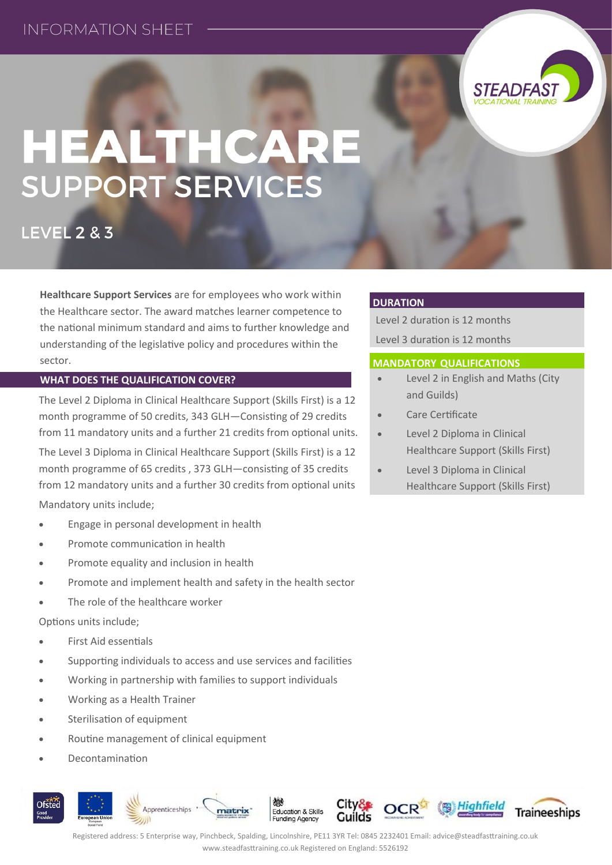

# HEALTHCARE **SUPPORT SERVICES**

**LEVEL 2 & 3** 

**Healthcare Support Services** are for employees who work within the Healthcare sector. The award matches learner competence to the national minimum standard and aims to further knowledge and understanding of the legislative policy and procedures within the sector.

### **WHAT DOES THE QUALIFICATION COVER?**

The Level 2 Diploma in Clinical Healthcare Support (Skills First) is a 12 month programme of 50 credits, 343 GLH—Consisting of 29 credits from 11 mandatory units and a further 21 credits from optional units. The Level 3 Diploma in Clinical Healthcare Support (Skills First) is a 12 month programme of 65 credits , 373 GLH—consisting of 35 credits

from 12 mandatory units and a further 30 credits from optional units Mandatory units include;

- Engage in personal development in health
- Promote communication in health
- Promote equality and inclusion in health
- Promote and implement health and safety in the health sector
- The role of the healthcare worker

Options units include;

- First Aid essentials
- Supporting individuals to access and use services and facilities
- Working in partnership with families to support individuals
- Working as a Health Trainer
- Sterilisation of equipment
- Routine management of clinical equipment
- Decontamination



**DURATION**

Level 2 duration is 12 months Level 3 duration is 12 months

#### **MANDATORY QUALIFICATIONS**

- Level 2 in English and Maths (City and Guilds)
- Care Certificate
- Level 2 Diploma in Clinical Healthcare Support (Skills First)
- Level 3 Diploma in Clinical Healthcare Support (Skills First)

Registered address: 5 Enterprise way, Pinchbeck, Spalding, Lincolnshire, PE11 3YR Tel: 0845 2232401 Email: advice@steadfasttraining.co.uk www.steadfasttraining.co.uk Registered on England: 5526192